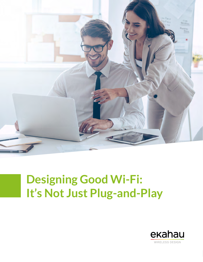

# **Designing Good Wi-Fi: It's Not Just Plug-and-Play**

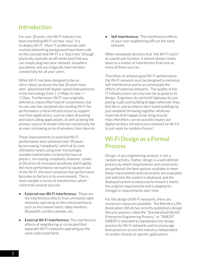#### Introduction

For over 20 years, the Wi-Fi industry has been marketing Wi-Fi on how "easy" it is to deploy Wi-Fi. Most IT professionals with a wired networking background have been sold on the concept that Wi-Fi is a "black box" (though physically, typically an off-white box) that you can simply plug into your network, anywhere you please, and you magically have wireless connectivity for all your users.

While Wi-Fi has been designed to be an ultra-robust protocol, the last 20 years have seen advertised half-duplex speed improvements in the technology from 1-2 Mbps to now >> 1 Gbps. Furthermore, Wi-Fi was originally offered as a best effort tool of convenience, but its use case has morphed into needing Wi-Fi for performance-critical infrastructure to support real-time applications, such as video streaming and voice calling applications, as well as being the primary source of simple Internet connectivity for an ever-increasing array of wireless client devices.

These improvements in potential Wi-Fi performance were achieved over 20 years by increasing "complexity," which at its core ultimately means using ever-increasingly complex mathematics to bend the laws of physics. Increasing complexity, however, comes at the price of increased sensitivity and fragility; the more performance we want to squeeze out of the Wi-Fi, the more sensitive that performance becomes to factors in its environment. This is most notable in terms of interference, which come from several sources:

- External non-Wi-Fi Interference: These are the interference effects from unrelated radio networks operating on the unlicensed band, such as microwave ovens, baby monitors, Bluetooth, cordless phones, etc.
- **External Wi-Fi Interference:** The interference effects of neighboring or co-located (but separate) Wi-Fi networks operating on the same unlicensed band.

• Self Interference: The interference effects of your own neighboring APs on the same network.

When somebody declares that "the Wi-Fi sucks" at a particular location, it almost always comes down to a matter of interference from one or more of these sources.

Therefore, to achieve good Wi-Fi performance, the Wi-Fi network must be designed to minimize self-interference and to accommodate the effects of external networks. The quality of the IT infrastructure can only ever be as good as its design. Engineers do not build highways by just paving roads and building bridges wherever they feel like it, and architects don't build buildings by just randomly throwing together whatever materials that happen to be lying around. How, therefore, can we possibly expect our digital wireless infrastructure network (ie Wi-Fi) to just work by random chance?

#### Wi-Fi Design as a Formal Process

Design, in any engineering venture, is not a random activity. Rather, design is a well-defined process by which requirements and constraints are gathered, the best options available to meet those requirements and constraints are evaluated and selected, the system is deployed, and the deployed system is measured to ensure it meets the original requirements and is adapted to changes in requirements over time.

For the design of Wi-Fi networks, there are numerous resources available. The Wireless LAN Association (WLA) has recently published a design lifecycle process called the "Standardized WLAN Enterprise Engineering Process," or "SWEEP." SWEEP is intended to standardize the design process for Wi-Fi networks and to encourage best practices across the industry, independent of vendor choices or specific applications.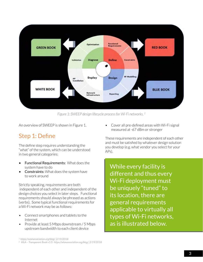

*Figure 1: SWEEP design lifecycle process for Wi-Fi networks. 2*

An overview of SWEEP is shown in Figure 1.

#### Step 1: Define

The define step requires understanding the "what" of the system, which can be understood in two general categories:

- Functional Requirements: What does the system have to do
- Constraints: What does the system have to work around

Strictly speaking, requirements are both independent of each other and independent of the design choices you select in later steps. Functional requirements should always be phrased as actions (verbs). Some typical functional requirements for a Wi-Fi network may be as follows:

- Connect smartphones and tablets to the Internet
- Provide at least 5 Mbps downstream / 5 Mbps upstream bandwidth to each client device

• Cover all pre-defined areas with Wi-Fi signal measured at -67 dBm or stronger

These requirements are independent of each other and must be satisfied by whatever design solution you develop (e.g. what vendor you select for your APs).

While every facility is different and thus every Wi-Fi deployment must be uniquely "tuned" to its location, there are general requirements applicable to virtually all types of Wi-Fi networks, as is illustrated below.

*<sup>1.</sup> https://wlanassociation.org/blog/, 2/19/2018*

*<sup>2.</sup> WLA – Transparent Book v1.0. https://wlanassociation.org/blog/, 2/19/2018*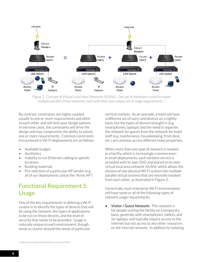

*Figure 2: Concept of Virtual Local Area Networks (VLANs). One set of hardware is used to create multiple parallel virtual networks, each with their own unique set of usage requirements. 3*

By contrast, constraints are highly coupled, usually to one or more requirements and often to each other, and will limit your design options. In extreme cases, the constraints will drive the design and may compromise the ability to satisfy one or more requirements. Common constraints encountered in Wi-Fi deployments are as follows:

- Available budget
- Aesthetics
- Inability to run Ethernet cabling to specific locations
- Building materials
- Pre-selection of a particular AP vendor (e.g. all of our deployments utilize the "Acme AP")

# Functional Requirement 1: Usage

One of the key requirements in defining a Wi-Fi system is to identify the types of devices that will be using the network, the types of applications to be run on those devices, and the level of security that needs to be provided. Usage is naturally unique to each environment, though tends to cluster around the needs of particular

vertical markets. As an example, a hotel will have a different set of users and devices on a nightly basis, but the types of devices brought in (e.g. smartphones, laptops) and the need to separate the network for guests from the network for hotel staff (e.g. maintenance, housekeeping, front desk, etc.) are common across different hotel properties.

When more than one type of network is needed in a facility, which is increasingly common even in small deployments, each wireless service is provided with its own SSID and placed on its own virtual local area network (VLAN), which allows the division of one physical Wi-Fi system into multiple parallel virtual systems that are normally isolated from each other, as illustrated in Figure 2.

Generically, most enterprise Wi-Fi environments will have some or all of the following types of network usage requirements.

Visitor / Guest Network: This network is for people visiting the facility on a temporary basis, generally with smartphones, tablets, and /or laptops, and typically require access to the Internet but not access to any other resources on the internal network. In addition to isolating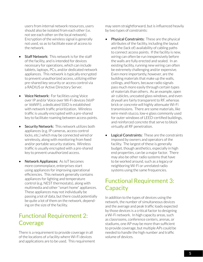users from internal network resources, users should also be isolated from each other (i.e. not see each other on the local network). Encryption of the wireless signal is generally not used, so as to facilitate ease of access to the network.

- **Staff Network:** This network is for the staff of the facility, and is intended for devices necessary for operations, which can include tablets, laptops, PCs, and/or dedicated network appliances. This network is typically encrypted to prevent unauthorized access, utilizing either pre-shared key security or access control via a RADIUS or Active Directory Server.
- Voice Network: For facilities using Voice over IP and/or Voice over Wi-Fi devices (VoIP or VoWiFi), a dedicated SSID is established with network traffic prioritization. Wireless traffic is usually encrypted with a pre-shared key to facilitate roaming between access points.
- **Security Network:** This network utilizes both appliances (e.g. IP cameras, access control locks, etc.) which may be connected wired or wirelessly, along with monitoring from fixed and/or portable security stations. Wireless traffic is usually encrypted with a pre-shared key to prevent unauthorized access.
- Network Appliances: As IoT becomes more commonplace, enterprises start using appliances for improving operational efficiencies. This network generally contains appliances for lighting and temperature control (e.g. NEST thermostats), along with multimedia and other "smart home" appliances. These appliances may not individually be passing a lot of data, but there could potentially be quite a lot of them on the network, depending on the size of the facility.

# Functional Requirement 2: Coverage

There is a requirement to provide coverage in all of the locations of a facility where Wi-Fi devices and applications are to be used. This requirement may seem straightforward, but is influenced heavily by two types of constraints:

- **Physical Constraints:** These are the physical attributes of the facility, including the layout and the (lack of) availability of cabling paths to connect access points. If the facility is new, wiring can often be run inexpensively before the walls are fully erected and sealed. In an existing facility, running new wiring can often be extremely challenging and/or expensive. Even more importantly, however, are the building materials that make up the walls, ceilings, and floors, because radio signals pass much more easily through certain types of materials than others. As an example, open air cubicles, uncoated glass windows, and even drywall are fairly transparent to RF, whereas brick or concrete will highly attenuate Wi-Fi transmissions. There are some materials, like wire-mesh stucco, low-e glass commonly used for outer windows of LEED-certified buildings, and reinforced concrete that serve to block virtually all RF penetration.
- **Logical Constraints:** These are the constraints imposed by owners and operators of the facility. The largest of these is generally budget, though aesthetics, especially in high end properties, can be a major factor. There may also be other radio systems that have to be worked around, such as a legacy or neighboring Wi-Fi or unrelated radio systems using the same frequencies.

# Functional Requirement 3: **Capacity**

In addition to the types of devices using the network, the number of simultaneous devices and the average and peak traffic loads expected by those devices is a critical factor to designing a Wi-Fi network. In high capacity areas, such as classrooms, conference centers, arenas, or stadiums, one AP may be more than sufficient to provide coverage, but multiple APs could be needed to handle the high number and traffic volume of devices.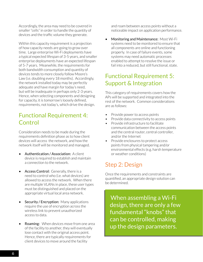Accordingly, the area may need to be covered in smaller "cells" in order to handle the quantity of devices and the traffic volume they generate.

Within this capacity requirement is a projection of how capacity needs are going to grow over time. Large enterprise Wi-Fi deployments have a typical expected lifespan of 3-5 years, and smaller enterprise deployments have an expected lifespan of 5-7 years. Meanwhile, the requirements for both bandwidth consumption and quantity of devices tends to more closely follow Moore's Law (i.e. doubling every 18 months). Accordingly, the network installed today may be perfectly adequate and have margin for today's need, but will be inadequate in perhaps only 2-3 years. Hence, when selecting components and designing for capacity, it is tomorrow's loosely defined, requirements, not today's, which drive the design.

#### Functional Requirement 4: **Control**

Consideration needs to be made during the requirements definition phase as to how client devices will access the network, and how the network itself will be monitored and managed.

- Authentication / Association: A client device is required to establish and maintain a connection to the network.
- **Access Control:** Generally, there is a need to control who (i.e. what devices) are allowed to access the network. When there are multiple VLANs in place, these user types must be distinguished and placed on the appropriate virtual local area network.
- Security / Encryption: Many applications require the use of encryption across the wireless link to prevent unauthorized access to data.
- Roaming: When devices move from one area of the facility to another, they will eventually lose contact with the original access point. Hence, there are typically requirements for client devices to move around the facility

and roam between access points without a noticeable impact on application performance.

• Monitoring and Maintenance: Most Wi-Fi systems need to be monitored to ensure that all components are online and functioning properly. In case of failure events, some systems may need automatic processes enabled to attempt to resolve the issue or fail into a reduced, but still functional, state.

# Functional Requirement 5: Support & Integration

This category of requirements covers how the APs will be supported and integrated into the rest of the network. Common considerations are as follows:

- Provide power to access points
- Provide data connectivity to access points
- Provide infrastructure to facilitate communication between the access points and the central router, central controller, and/or the Internet
- Provide enclosures to protect access points from physical tampering and/or environmental effects (e.g. harsh temperature or weather conditions)

# Step 2: Design

Once the requirements and constraints are quantified, an appropriate design solution can be determined.

When assembling a Wi-Fi design, there are only a few fundamental "knobs" that can be controlled, making up the design parameters.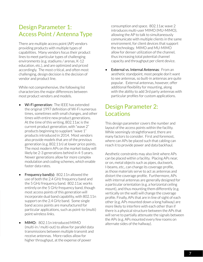#### Design Parameter 1: Access Point / Antenna Type

There are multiple access point (AP) vendors providing products with multiple types of capabilities. Many vendors focus their product lines to meet particular types of challenging environments (e.g. stadiums / arenas, K-12 education, etc.), and are optimized and priced accordingly. The most critical, and often most challenging, design decision is the decision of vendor and product line.

While not comprehensive, the following list characterizes the major differences between most product vendors and models.

- Wi-Figeneration: The IEEE has extended the original 1997 definition of Wi-Fi numerous times, sometimes with small changes, and other times with entire new product generations. At the time of this writing, 802.11ac is the current product generation, with "wave 2" products beginning to supplant "wave 1" products introduced in 2014. Most vendors also provide models that are of the previous generation (e.g. 802.11n) at lower price points. The most modern APs on the market today will likely be 2-3 generations behind in 4-5 years. Newer generations allow for more complex modulation and coding schemes, which enable faster data rates.
- **Frequency band(s):** 802.11n allowed the use of both the 2.4 GHz frequency band and the 5 GHz frequency band. 802.11ac works entirely on the 5 GHz frequency band, though most access points of this generation will incorporate dual band capability, with 802.11n support on the 2.4 GHz band. Some single band access points are manufactured for particular applications, such as point-to-(multi) point wireless links.
- MIMO: 802.11n introduced MIMO (multi-in / multi-out) to allow for parallel data transmissions between multiple transmit and receive antennas. More radios allow for higher throughput, at the expense of power

consumption and space. 802.11ac wave 2 introduces multi-user MIMO (MU-MIMO), allowing the AP to talk to simultaneously communicate with multiple clients in the same environment, for client devices that support the technology. MIMO and MU-MIMO allow for denser utilization of the channel, thus increasing total potential channel capacity and throughput per client device.

**External vs. Internal Antennas: From an** aesthetic standpoint, most people don't want to see antennas, so built-in antennas are quite popular. External antennas, however, offer additional flexibility for mounting, along with the ability to add 3rd party antennas with particular profiles for custom applications.

# Design Parameter 2: Locations

This design parameter covers the number and layout of the access points within the facility. While seemingly straightforward, there are many factors to consider. First and foremost, where can APs be placed such that cabling can reach it to provide power and data backhaul.

Aesthetic constraints may also limit where APs can be placed within a facility. Placing APs near, or on, metal objects such as pipes, ductwork, I-beams, etc., can change its coverage profile, as those materials serve to act as antennas and distort the coverage profile. Furthermore, APs with internal antennas are generally designed for a particular orientation (e.g. a horizontal ceiling mount), and thus mounting them differently (e.g. vertically on the wall) will change the coverage profile. Finally, APs that are in line of sight of each other (e.g. APs mounted down a long hallway) are more likely to interfere with each other than if there is a physical structure between the APs that will serve to partially attenuate the signals between the APs (e.g. APs mounted every few rooms on alternate sides of the hallway).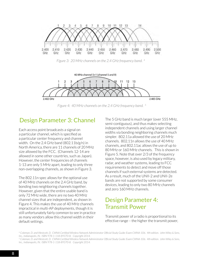

*Figure 3: 20 MHz channels on the 2.4 GHz frequency band. 4*



*Figure 4: 40 MHz channels on the 2.4 GHz frequency band. 5*

#### Design Parameter 3: Channel

Each access point broadcasts a signal on a particular channel, which is specified as a particular center frequency and channel width. On the 2.4 GHz band (802.11b/g/n) in North America, there are 11 channels of 20 MHz size allowed by the FCC. (Channels 12-14 are allowed in some other countries, such as Japan). However, the center frequencies of channels 1-13 are only 5 MHz apart, leading to only three non-overlapping channels, as shown in Figure 3.

The 802.11n spec allows for the optional use of 40 MHz channels on the 2.4 GHz band, by bonding two neighboring channels together. However, given that the entire usable band is only 72 MHz wide, there are no two 40 MHz channel sizes that are independent, as shown in Figure 4. This makes the use of 40 MHz channels impractical in multi-AP deployments, though it is still unfortunately fairly common to see in practice as many vendors allow this channel width in their default settings.

The 5 GHz band is much larger (over 555 MHz, semi-contiguous), and thus makes selecting independent channels and using larger channel widths via bonding neighboring channels much simpler. 802.11a allowed the use of 20 MHz channels. 802.11n allows the use of 40 MHz channels, and 802.11ac allows the use of up to 80 MHz or 160 MHz channels. This is shown in Figure 5. Note that over 2/3 of the frequency space, however, is also used by legacy military, radar, and weather systems, leading to FCC requirements to detect and move off those channels if such external systems are detected. As a result, much of the UNII-2 and UNII-2e bands are not supported by some consumer devices, leading to only two 80 MHz channels and zero 160 MHz channels.

# Design Parameter 4: Transmit Power

Transmit power of a radio is proportional to its effective range – the higher the transmit power,

*<sup>4.</sup> Coleman, D. and Westcott, D. CWNA Certified Wireless Network Administrator Official Study Guide: Exam CWNA-106. 4th edition. John Wiley & Sons, Inc., Indianapolis, IN. ISBN 978-1-118-89370-8. Copyright 2014.*

*<sup>5.</sup> Coleman, D. and Westcott, D. CWNA Certified Wireless Network Administrator Official Study Guide: Exam CWNA-106. 4th edition. John Wiley & Sons, Inc., Indianapolis, IN. ISBN 978-1-118-89370-8. Copyright 2014.*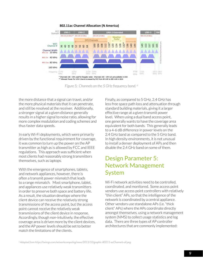

#### 802.11ac Channel Allocation (N America)

*Figure 5: Channels on the 5 GHz frequency band. <sup>6</sup>*

the more distance that a signal can travel, and/or the more physical materials that it can penetrate, and still be resolved at the receiver. Additionally, a stronger signal at a given distance generally results in a higher signal to noise ratio, allowing for more complex modulation and coding schemes and thus faster data speeds.

In early Wi-Fi deployments, which were primarily driven by the functional requirement for coverage, it was common to turn up the power on the AP transmitter as high as is allowed by FCC and IEEE regulations. This approach was sufficient when most clients had reasonably strong transmitters themselves, such as laptops.

With the emergence of smartphones, tablets, and network appliances, however, there is often a transmit power mismatch that leads to a range mismatch. Most smartphone, tablet, and appliances use relatively weak transmitters in order to preserve both space and battery life. As a result, the situation develops where the client device can receive the relatively strong transmissions of the access point, but the access point cannot receive the relatively weak transmissions of the client device in response. Accordingly, though non-intuitively, the effective coverage area is driven more by the client devices, and the AP power levels should be set to better match the limitations of the clients.

Finally, as compared to 5 GHz, 2.4 GHz has less free space path loss and attenuation through standard building materials, giving it a larger effective range at a given transmit power level. When using a dual band access point, one generally wants to have the coverage area equivalent for both bands. This generally leads to a 4-6 dB difference in power levels on the 2.4 GHz band as compared to the 5 GHz band. In high density environments, it is not unusual to install a denser deployment of APs and then disable the 2.4 GHz band on some of them.

# Design Parameter 5: Network Management System

Wi-Fi network activities need to be controlled, coordinated, and monitored. Some access point vendors use access point controllers with relatively "thin client" APs, so that the intelligence of the network is coordinated by a central appliance. Other vendors use standalone APs (i.e. "thick client" APs) where the APs coordinate directly amongst themselves, using a network management system (NMS) to collect usage statistics and log data. There are three types of AP controller architectures that are commonly implemented: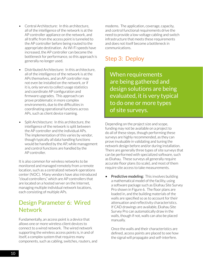- Central Architecture: In this architecture, all of the intelligence of the network is at the AP controller appliance on the network, and all traffic from the access point is tunneled to the AP controller before being routed to the appropriate destination. As Wi-Fi speeds have increased, the AP controller can become the bottleneck for performance, so this approach is generally no longer used.
- Distributed Architecture: In this architecture, all of the intelligence of the network is at the APs themselves, and an AP controller may not even be installed on the network, or if it is, only serves to collect usage statistics and coordinate AP configuration and firmware upgrades. This approach can prove problematic in more complex environments, due to the difficulties in coordinating operational functions across APs, such as client device roaming.
- Split Architecture: In this architecture, the intelligence of the network is split between the AP controller and the individual APs. The implementation of this varies by vendor, though typically all data handling functions would be handled by the AP, while management and control functions are handled by the AP controller.

It is also common for wireless networks to be monitored and managed remotely from a remote location, such as a centralized network operations center (NOC). Many vendors have also introduced "cloud controllers," which are AP controllers that are located on a hosted server on the Internet, managing multiple individual network locations, each consisting of multiple APs.

#### Design Parameter 6: Wired **Network**

Fundamentally, an access point is a device that allows one or more wireless client devices to connect to a wired network. The wired network supporting the wireless access points is, in and of itself, a complex system that requires many components, such as cabling, switches, routers, and

modems. The application, coverage, capacity, and control functional requirements drive the need to provide a low-voltage cabling and switch infrastructure that meets these requirements and does not itself become a bottleneck in communications.

# Step 3: Deploy

When requirements are being gathered and design solutions are being evaluated, it is very typical to do one or more types of site surveys.

Depending on the project size and scope, funding may not be available on a project to do all of these steps, though performing these surveys are highly recommended, as they can prove invaluable in validating and tuning the network design before and/or during installation. There are generally three types of site surveys that can be performed with specialized software, such as Ekahau. These surveys all generally require accurate floor plans (to scale), and most of them require site access to take measurements.

**Predictive modeling:** This involves building a mathematical model of the facility, using a software package such as Ekahau Site Survey Pro shown in Figure 6. The floor plans are loaded in, and the building materials of the walls are specified so as to account for their attenuation and reflectivity characteristics. If CAD drawings are available, Ekahau Site Survey Pro can automatically draw in the walls, though if not, walls can also be placed manually.

Once the walls and their characteristics are defined, access points are placed to see how the signal will propagate and self-interfere.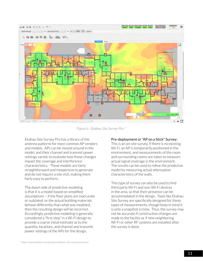

*Figure 6: Ekahau Site Survey Pro. <sup>7</sup>*

Ekahau Site Survey Pro has a library of the antenna patterns for most common AP vendors and models. APs can be moved around in the model, and their channel and transmit power settings varied, to evaluate how those changes impact the coverage and interference characteristics. These models are fairly straightforward and inexpensive to generate and do not require a site visit, making them fairly easy to perform.

The down-side of predictive modeling is that it is a model based on simplified assumptions – if the floor plans are inaccurate or outdated, or the actual building materials behave differently than what was modeled, then the resulting design will be incorrect. Accordingly, predictive modeling is generally considered a "first step" in a Wi-Fi design to provide a coarse initial estimate as to the quantity, locations, and channel and transmit power settings of the APs for the design.

#### Pre-deployment or "AP on a Stick" Survey:

This is an on-site survey. If there is no existing Wi-Fi, an AP is temporarily positioned in the environment, and measurements of the room and surrounding rooms are taken to measure actual signal coverage in the environment. The results can be used to refine the predictive model by measuring actual attenuation characteristics of the walls.

This type of survey can also be used to find third party Wi-Fi and non-Wi-Fi devices in the area, so that their presence can be accommodated in the design. Tools like Ekahau Site Survey are specifically designed for these types of measurements, though keep in mind it is only a snapshot in time. Thus, the survey may not be accurate if construction changes are made to the facility or if new neighboring Wi-Fi or other RF systems are installed after the survey is done.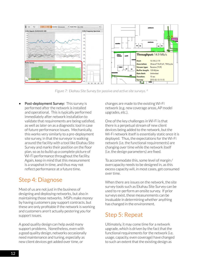

*Figure 7: Ekahau Site Survey for passive and active site surveys. 8*

Post-deployment Survey: This survey is performed after the network is installed and operational. This is typically performed immediately after network installation to validate that requirements are being satisfied, as well as later on as a diagnostic tool in case of future performance issues. Mechanically, this works very similarly to a pre-deployment site survey, in that the surveyor is walking around the facility with a tool like Ekahau Site Survey and marks their position on the floor plan, so as to build up a complete picture of Wi-Fi performance throughout the facility. Again, keep in mind that this measurement is a snapshot in time, and thus may not reflect performance at a future time.

# Step 4: Diagnose

Most of us are not just in the business of designing and deploying networks, but also in maintaining those networks. MSPs make money by having customers pay support contracts, but these are only profitable if the network is working and customers aren't actually pestering you for support issues.

A good quality design can help avoid many support problems. Nonetheless, even with a good quality design, networks occasionally need maintenance and tuning, especially as new client devices get added over time, or

changes are made to the existing Wi-Fi network (e.g. new coverage areas, AP model upgrades, etc.).

One of the key challenges in Wi-Fi is that there is a perpetual stream of new client devices being added to the network, but the Wi-Fi network itself is essentially static once it is deployed. Thus, the expectations for the Wi-Fi network (i.e. the functional requirements) are changing over time while the network itself (i.e. the design parameters) are fixed.

To accommodate this, some level of margin / overcapacity needs to be designed in, as this excess capacity will, in most cases, get consumed over time.

When there are issues on the network, the site survey tools such as Ekahau Site Survey can be used to re-perform an onsite survey. If prior surveys exist, these measurements can be invaluable in determining whether anything has changed in the environment.

# Step 5: Repeat

Ultimately, it may come time for a network upgrade, which is driven by the fact that the functional requirements for the network (i.e. usage, capacity, even coverage) have changed to such an extent that the existing design as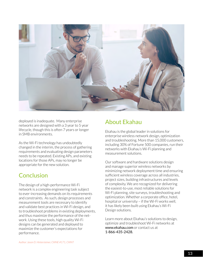

deployed is inadequate. Many enterprise networks are designed with a 3 year to 5 year lifecycle, though this is often 7 years or longer in SMB environments.

As the Wi-Fi technology has undoubtedly changed in the interim, the process of gathering requirements and evaluating design parameters needs to be repeated. Existing APs, and existing locations for those APs, may no longer be appropriate for the new solution.

#### Conclusion

The design of a high-performance Wi-Fi network is a complex engineering task subject to ever-increasing demands on its requirements and constraints. As such, design processes and measurement tools are necessary to identify and validate best practices in Wi-Fi design, and to troubleshoot problems in existing deployments, and thus maximize the performance of the network. Using these tools, high quality Wi-Fi designs can be generated and deployed to maximize the customer's expectations for performance.

#### About Ekahau

Ekahau is the global leader in solutions for enterprise wireless network design, optimization and troubleshooting. More than 15,000 customers, including 30% of Fortune 500 companies, run their networks with Ekahau's Wi-Fi planning and measurement solutions.

Our software and hardware solutions design and manage superior wireless networks by minimizing network deployment time and ensuring sufficient wireless coverage across all industries, project sizes, building infrastructures and levels of complexity. We are recognized for delivering the easiest-to-use, most reliable solutions for Wi-Fi planning, site surveys, troubleshooting and optimization. Whether a corporate office, hotel, hospital or university – if the Wi-Fi works well, it has likely been built using Ekahau's Wi-Fi Design solutions.

Learn more about Ekahau's solutions to design, optimize and troubleshoot Wi-Fi networks at www.ekahau.com or contact us at 1-866-435-2428.